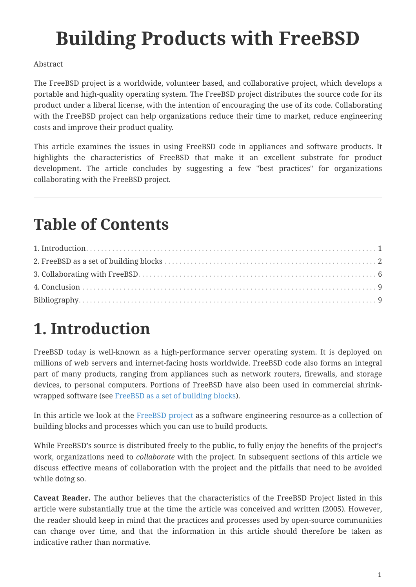# **Building Products with FreeBSD**

#### Abstract

The FreeBSD project is a worldwide, volunteer based, and collaborative project, which develops a portable and high-quality operating system. The FreeBSD project distributes the source code for its product under a liberal license, with the intention of encouraging the use of its code. Collaborating with the FreeBSD project can help organizations reduce their time to market, reduce engineering costs and improve their product quality.

This article examines the issues in using FreeBSD code in appliances and software products. It highlights the characteristics of FreeBSD that make it an excellent substrate for product development. The article concludes by suggesting a few "best practices" for organizations collaborating with the FreeBSD project.

## **Table of Contents**

## <span id="page-0-0"></span>**1. Introduction**

FreeBSD today is well-known as a high-performance server operating system. It is deployed on millions of web servers and internet-facing hosts worldwide. FreeBSD code also forms an integral part of many products, ranging from appliances such as network routers, firewalls, and storage devices, to personal computers. Portions of FreeBSD have also been used in commercial shrinkwrapped software (see [FreeBSD as a set of building blocks\)](#page-1-0).

In this article we look at the [FreeBSD project](https://www.FreeBSD.org/) as a software engineering resource-as a collection of building blocks and processes which you can use to build products.

While FreeBSD's source is distributed freely to the public, to fully enjoy the benefits of the project's work, organizations need to *collaborate* with the project. In subsequent sections of this article we discuss effective means of collaboration with the project and the pitfalls that need to be avoided while doing so.

**Caveat Reader.** The author believes that the characteristics of the FreeBSD Project listed in this article were substantially true at the time the article was conceived and written (2005). However, the reader should keep in mind that the practices and processes used by open-source communities can change over time, and that the information in this article should therefore be taken as indicative rather than normative.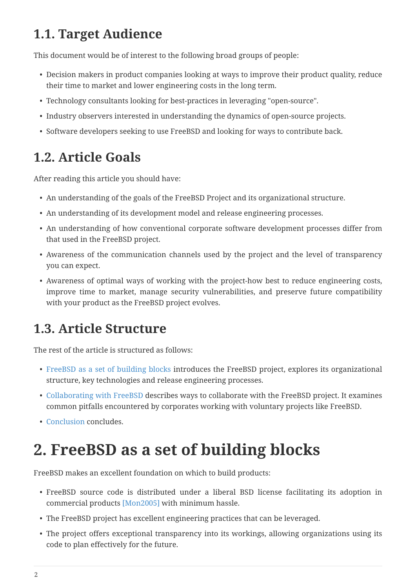### **1.1. Target Audience**

This document would be of interest to the following broad groups of people:

- Decision makers in product companies looking at ways to improve their product quality, reduce their time to market and lower engineering costs in the long term.
- Technology consultants looking for best-practices in leveraging "open-source".
- Industry observers interested in understanding the dynamics of open-source projects.
- Software developers seeking to use FreeBSD and looking for ways to contribute back.

### **1.2. Article Goals**

After reading this article you should have:

- An understanding of the goals of the FreeBSD Project and its organizational structure.
- An understanding of its development model and release engineering processes.
- An understanding of how conventional corporate software development processes differ from that used in the FreeBSD project.
- Awareness of the communication channels used by the project and the level of transparency you can expect.
- Awareness of optimal ways of working with the project-how best to reduce engineering costs, improve time to market, manage security vulnerabilities, and preserve future compatibility with your product as the FreeBSD project evolves.

### **1.3. Article Structure**

The rest of the article is structured as follows:

- [FreeBSD as a set of building blocks](#page-1-0) introduces the FreeBSD project, explores its organizational structure, key technologies and release engineering processes.
- [Collaborating with FreeBSD](#page-5-0) describes ways to collaborate with the FreeBSD project. It examines common pitfalls encountered by corporates working with voluntary projects like FreeBSD.
- [Conclusion](#page-8-0) concludes.

## <span id="page-1-0"></span>**2. FreeBSD as a set of building blocks**

FreeBSD makes an excellent foundation on which to build products:

- FreeBSD source code is distributed under a liberal BSD license facilitating its adoption in commercial products [\[Mon2005\]](#page-9-0) with minimum hassle.
- The FreeBSD project has excellent engineering practices that can be leveraged.
- The project offers exceptional transparency into its workings, allowing organizations using its code to plan effectively for the future.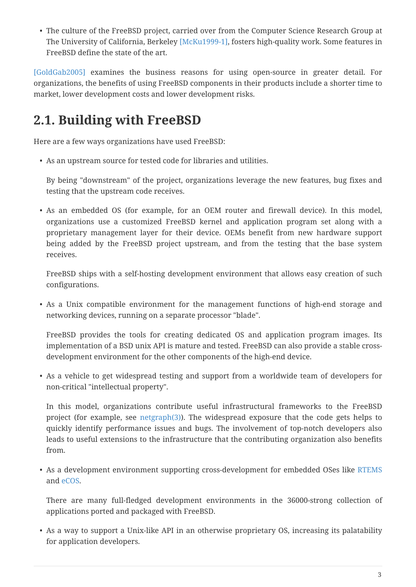• The culture of the FreeBSD project, carried over from the Computer Science Research Group at The University of California, Berkeley [\[McKu1999-1\],](#page-9-1) fosters high-quality work. Some features in FreeBSD define the state of the art.

[\[GoldGab2005\]](#page-9-2) examines the business reasons for using open-source in greater detail. For organizations, the benefits of using FreeBSD components in their products include a shorter time to market, lower development costs and lower development risks.

### **2.1. Building with FreeBSD**

Here are a few ways organizations have used FreeBSD:

• As an upstream source for tested code for libraries and utilities.

By being "downstream" of the project, organizations leverage the new features, bug fixes and testing that the upstream code receives.

• As an embedded OS (for example, for an OEM router and firewall device). In this model, organizations use a customized FreeBSD kernel and application program set along with a proprietary management layer for their device. OEMs benefit from new hardware support being added by the FreeBSD project upstream, and from the testing that the base system receives.

FreeBSD ships with a self-hosting development environment that allows easy creation of such configurations.

• As a Unix compatible environment for the management functions of high-end storage and networking devices, running on a separate processor "blade".

FreeBSD provides the tools for creating dedicated OS and application program images. Its implementation of a BSD unix API is mature and tested. FreeBSD can also provide a stable crossdevelopment environment for the other components of the high-end device.

• As a vehicle to get widespread testing and support from a worldwide team of developers for non-critical "intellectual property".

In this model, organizations contribute useful infrastructural frameworks to the FreeBSD project (for example, see [netgraph\(3\)\)](https://www.freebsd.org/cgi/man.cgi?query=netgraph&sektion=3&format=html). The widespread exposure that the code gets helps to quickly identify performance issues and bugs. The involvement of top-notch developers also leads to useful extensions to the infrastructure that the contributing organization also benefits from.

• As a development environment supporting cross-development for embedded OSes like [RTEMS](http://www.rtems.com/) and [eCOS.](http://ecos.sourceware.org/)

There are many full-fledged development environments in the 36000-strong collection of applications ported and packaged with FreeBSD.

• As a way to support a Unix-like API in an otherwise proprietary OS, increasing its palatability for application developers.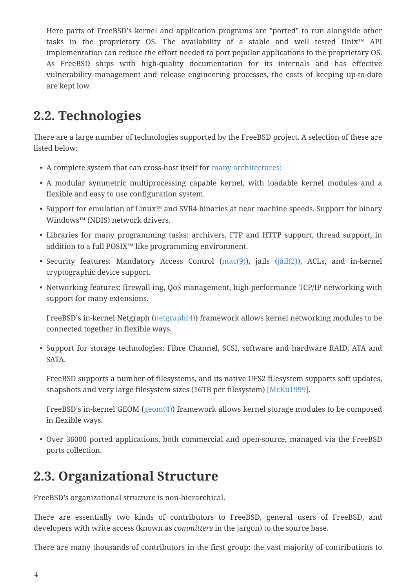Here parts of FreeBSD's kernel and application programs are "ported" to run alongside other tasks in the proprietary OS. The availability of a stable and well tested Unix™ API implementation can reduce the effort needed to port popular applications to the proprietary OS. As FreeBSD ships with high-quality documentation for its internals and has effective vulnerability management and release engineering processes, the costs of keeping up-to-date are kept low.

### **2.2. Technologies**

There are a large number of technologies supported by the FreeBSD project. A selection of these are listed below:

- A complete system that can cross-host itself for [many architectures:](https://www.FreeBSD.org/platforms/)
- A modular symmetric multiprocessing capable kernel, with loadable kernel modules and a flexible and easy to use configuration system.
- Support for emulation of Linux™ and SVR4 binaries at near machine speeds. Support for binary Windows™ (NDIS) network drivers.
- Libraries for many programming tasks: archivers, FTP and HTTP support, thread support, in addition to a full POSIX™ like programming environment.
- Security features: Mandatory Access Control ([mac\(9\)\)](https://www.freebsd.org/cgi/man.cgi?query=mac&sektion=9&format=html), jails [\(jail\(2\)](https://www.freebsd.org/cgi/man.cgi?query=jail&sektion=2&format=html)), ACLs, and in-kernel cryptographic device support.
- Networking features: firewall-ing, QoS management, high-performance TCP/IP networking with support for many extensions.

FreeBSD's in-kernel Netgraph ([netgraph\(4\)\)](https://www.freebsd.org/cgi/man.cgi?query=netgraph&sektion=4&format=html) framework allows kernel networking modules to be connected together in flexible ways.

• Support for storage technologies: Fibre Channel, SCSI, software and hardware RAID, ATA and SATA.

FreeBSD supports a number of filesystems, and its native UFS2 filesystem supports soft updates, snapshots and very large filesystem sizes (16TB per filesystem) [\[McKu1999\].](#page-9-3)

FreeBSD's in-kernel GEOM [\(geom\(4\)\)](https://www.freebsd.org/cgi/man.cgi?query=geom&sektion=4&format=html) framework allows kernel storage modules to be composed in flexible ways.

• Over 36000 ported applications, both commercial and open-source, managed via the FreeBSD ports collection.

### **2.3. Organizational Structure**

FreeBSD's organizational structure is non-hierarchical.

There are essentially two kinds of contributors to FreeBSD, general users of FreeBSD, and developers with write access (known as *committers* in the jargon) to the source base.

There are many thousands of contributors in the first group; the vast majority of contributions to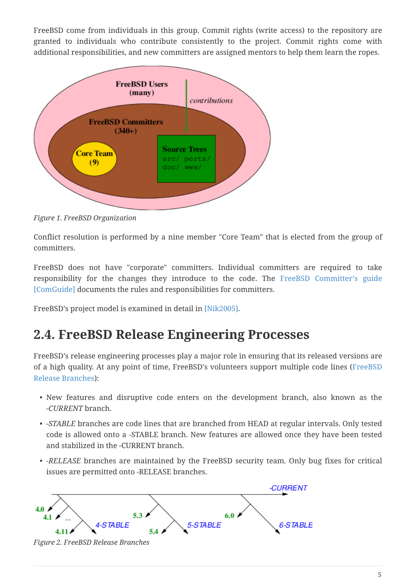FreeBSD come from individuals in this group. Commit rights (write access) to the repository are granted to individuals who contribute consistently to the project. Commit rights come with additional responsibilities, and new committers are assigned mentors to help them learn the ropes.



*Figure 1. FreeBSD Organization*

Conflict resolution is performed by a nine member "Core Team" that is elected from the group of committers.

FreeBSD does not have "corporate" committers. Individual committers are required to take responsibility for the changes they introduce to the code. The [FreeBSD Committer's guide](https://docs.freebsd.org/en/articles/committers-guide/) [\[ComGuide\]](#page-9-4) documents the rules and responsibilities for committers.

FreeBSD's project model is examined in detail in [\[Nik2005\]](#page-9-5).

#### **2.4. FreeBSD Release Engineering Processes**

FreeBSD's release engineering processes play a major role in ensuring that its released versions are of a high quality. At any point of time, FreeBSD's volunteers support multiple code lines [\(FreeBSD](#page-4-0) [Release Branches](#page-4-0)):

- New features and disruptive code enters on the development branch, also known as the *-CURRENT* branch.
- *-STABLE* branches are code lines that are branched from HEAD at regular intervals. Only tested code is allowed onto a -STABLE branch. New features are allowed once they have been tested and stabilized in the -CURRENT branch.
- *-RELEASE* branches are maintained by the FreeBSD security team. Only bug fixes for critical issues are permitted onto -RELEASE branches.

<span id="page-4-0"></span>

*Figure 2. FreeBSD Release Branches*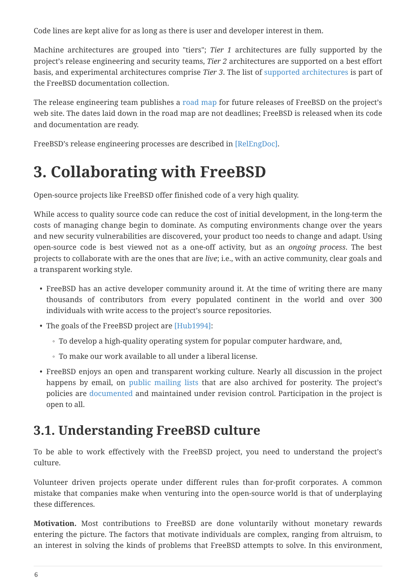Code lines are kept alive for as long as there is user and developer interest in them.

Machine architectures are grouped into "tiers"; *Tier 1* architectures are fully supported by the project's release engineering and security teams, *Tier 2* architectures are supported on a best effort basis, and experimental architectures comprise *Tier 3*. The list of [supported architectures](https://docs.freebsd.org/en/articles/committers-guide/#archs) is part of the FreeBSD documentation collection.

The release engineering team publishes a [road map](https://www.FreeBSD.org/releng/) for future releases of FreeBSD on the project's web site. The dates laid down in the road map are not deadlines; FreeBSD is released when its code and documentation are ready.

FreeBSD's release engineering processes are described in [\[RelEngDoc\]](#page-9-6).

## <span id="page-5-0"></span>**3. Collaborating with FreeBSD**

Open-source projects like FreeBSD offer finished code of a very high quality.

While access to quality source code can reduce the cost of initial development, in the long-term the costs of managing change begin to dominate. As computing environments change over the years and new security vulnerabilities are discovered, your product too needs to change and adapt. Using open-source code is best viewed not as a one-off activity, but as an *ongoing process*. The best projects to collaborate with are the ones that are *live*; i.e., with an active community, clear goals and a transparent working style.

- FreeBSD has an active developer community around it. At the time of writing there are many thousands of contributors from every populated continent in the world and over 300 individuals with write access to the project's source repositories.
- The goals of the FreeBSD project are [\[Hub1994\]:](#page-9-7)
	- To develop a high-quality operating system for popular computer hardware, and,
	- To make our work available to all under a liberal license.
- FreeBSD enjoys an open and transparent working culture. Nearly all discussion in the project happens by email, on [public mailing lists](https://lists.freebsd.org/) that are also archived for posterity. The project's policies are [documented](https://www.FreeBSD.org/internal/policies/) and maintained under revision control. Participation in the project is open to all.

### **3.1. Understanding FreeBSD culture**

To be able to work effectively with the FreeBSD project, you need to understand the project's culture.

Volunteer driven projects operate under different rules than for-profit corporates. A common mistake that companies make when venturing into the open-source world is that of underplaying these differences.

**Motivation.** Most contributions to FreeBSD are done voluntarily without monetary rewards entering the picture. The factors that motivate individuals are complex, ranging from altruism, to an interest in solving the kinds of problems that FreeBSD attempts to solve. In this environment,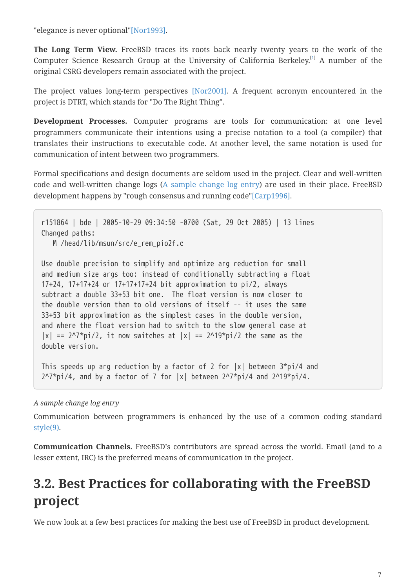"elegance is never optional["\[Nor1993\]](#page-9-8).

<span id="page-6-1"></span>**The Long Term View.** FreeBSD traces its roots back nearly twenty years to the work of the Computer Science Research Group at the University of California Berkeley.<sup>[\[1\]](#page-9-9)</sup> A number of the original CSRG developers remain associated with the project.

The project values long-term perspectives [\[Nor2001\].](#page-9-10) A frequent acronym encountered in the project is DTRT, which stands for "Do The Right Thing".

**Development Processes.** Computer programs are tools for communication: at one level programmers communicate their intentions using a precise notation to a tool (a compiler) that translates their instructions to executable code. At another level, the same notation is used for communication of intent between two programmers.

Formal specifications and design documents are seldom used in the project. Clear and well-written code and well-written change logs [\(A sample change log entry](#page-6-0)) are used in their place. FreeBSD development happens by "rough consensus and running code"[\[Carp1996\]](#page-8-2).

r151864 | bde | 2005-10-29 09:34:50 -0700 (Sat, 29 Oct 2005) | 13 lines Changed paths: M /head/lib/msun/src/e\_rem\_pio2f.c

Use double precision to simplify and optimize arg reduction for small and medium size args too: instead of conditionally subtracting a float 17+24, 17+17+24 or 17+17+17+24 bit approximation to pi/2, always subtract a double 33+53 bit one. The float version is now closer to the double version than to old versions of itself -- it uses the same 33+53 bit approximation as the simplest cases in the double version, and where the float version had to switch to the slow general case at  $|x| = 2^{\frac{\pi}{3}}$ pi/2, it now switches at  $|x| = 2^{\frac{\pi}{3}}$ pi/2 the same as the double version.

<span id="page-6-0"></span>This speeds up arg reduction by a factor of 2 for  $|x|$  between  $3*pi/4$  and  $2^N$ <sup>\*</sup>pi/4, and by a factor of 7 for  $|x|$  between  $2^N$ <sup>\*</sup>pi/4 and  $2^N19$ \*pi/4.

#### *A sample change log entry*

Communication between programmers is enhanced by the use of a common coding standard [style\(9\).](https://www.freebsd.org/cgi/man.cgi?query=style&sektion=9&format=html)

**Communication Channels.** FreeBSD's contributors are spread across the world. Email (and to a lesser extent, IRC) is the preferred means of communication in the project.

### **3.2. Best Practices for collaborating with the FreeBSD project**

We now look at a few best practices for making the best use of FreeBSD in product development.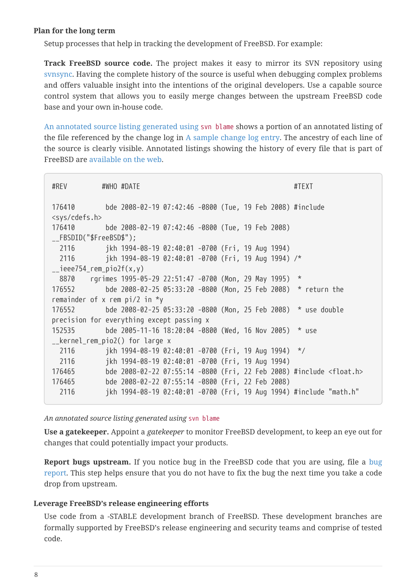#### **Plan for the long term**

Setup processes that help in tracking the development of FreeBSD. For example:

**Track FreeBSD source code.** The project makes it easy to mirror its SVN repository using [svnsync](https://docs.freebsd.org/en/articles/committers-guide/#svn-advanced-use-setting-up-svnsync). Having the complete history of the source is useful when debugging complex problems and offers valuable insight into the intentions of the original developers. Use a capable source control system that allows you to easily merge changes between the upstream FreeBSD code base and your own in-house code.

[An annotated source listing generated using](#page-7-0) [svn blame](#page-7-0) shows a portion of an annotated listing of the file referenced by the change log in [A sample change log entry](#page-6-0). The ancestry of each line of the source is clearly visible. Annotated listings showing the history of every file that is part of FreeBSD are [available on the web](https://svnweb.freebsd.org/).

| #REV                                      | #WHO #DATE<br>#TFXT                                                           |  |  |
|-------------------------------------------|-------------------------------------------------------------------------------|--|--|
|                                           | 176410 bde 2008-02-19 07:42:46 -0800 (Tue, 19 Feb 2008) #include              |  |  |
| <sys cdefs.h=""></sys>                    |                                                                               |  |  |
|                                           | 176410 bde 2008-02-19 07:42:46 -0800 (Tue, 19 Feb 2008)                       |  |  |
| __FBSDID("\$FreeBSD\$");                  |                                                                               |  |  |
| 2116                                      | jkh 1994-08-19 02:40:01 -0700 (Fri, 19 Aug 1994)                              |  |  |
| 2116                                      | jkh 1994-08-19 02:40:01 -0700 (Fri, 19 Aug 1994) /*                           |  |  |
| $_{\text{--}}$ ieee754_rem_pio2f(x,y)     |                                                                               |  |  |
|                                           | 8870 rgrimes 1995-05-29 22:51:47 -0700 (Mon, 29 May 1995) *                   |  |  |
| 176552                                    | bde 2008-02-25 05:33:20 -0800 (Mon, 25 Feb 2008) * return the                 |  |  |
| remainder of x rem $pi/2$ in $*$ y        |                                                                               |  |  |
|                                           | 176552 bde 2008-02-25 05:33:20 -0800 (Mon, 25 Feb 2008) * use double          |  |  |
| precision for everything except passing x |                                                                               |  |  |
| 152535                                    | bde 2005-11-16 18:20:04 -0800 (Wed, 16 Nov 2005) $*$ use                      |  |  |
| __kernel_rem_pio2() for large x           |                                                                               |  |  |
| 2116                                      | jkh 1994-08-19 02:40:01 -0700 (Fri, 19 Aug 1994) */                           |  |  |
| 2116                                      | jkh 1994-08-19 02:40:01 -0700 (Fri, 19 Aug 1994)                              |  |  |
| 176465                                    | bde 2008-02-22 07:55:14 -0800 (Fri, 22 Feb 2008) #include <float.h></float.h> |  |  |
| 176465                                    | bde 2008-02-22 07:55:14 -0800 (Fri, 22 Feb 2008)                              |  |  |
| 2116                                      | jkh 1994-08-19 02:40:01 -0700 (Fri, 19 Aug 1994) #include "math.h"            |  |  |
|                                           |                                                                               |  |  |

<span id="page-7-0"></span>*An annotated source listing generated using* svn blame

**Use a gatekeeper.** Appoint a *gatekeeper* to monitor FreeBSD development, to keep an eye out for changes that could potentially impact your products.

**Report bugs upstream.** If you notice bug in the FreeBSD code that you are using, file a [bug](https://www.FreeBSD.org/support/bugreports/) [report.](https://www.FreeBSD.org/support/bugreports/) This step helps ensure that you do not have to fix the bug the next time you take a code drop from upstream.

#### **Leverage FreeBSD's release engineering efforts**

Use code from a -STABLE development branch of FreeBSD. These development branches are formally supported by FreeBSD's release engineering and security teams and comprise of tested code.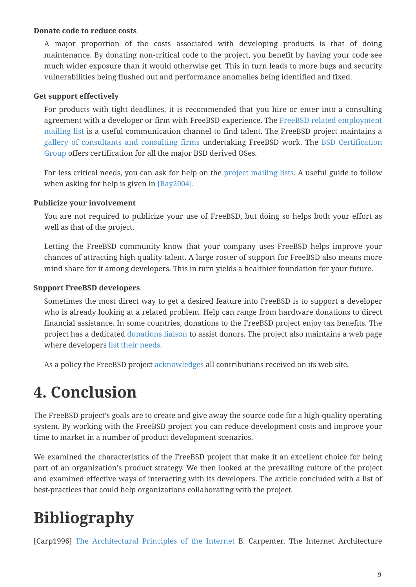#### **Donate code to reduce costs**

A major proportion of the costs associated with developing products is that of doing maintenance. By donating non-critical code to the project, you benefit by having your code see much wider exposure than it would otherwise get. This in turn leads to more bugs and security vulnerabilities being flushed out and performance anomalies being identified and fixed.

#### **Get support effectively**

For products with tight deadlines, it is recommended that you hire or enter into a consulting agreement with a developer or firm with FreeBSD experience. The [FreeBSD related employment](https://lists.FreeBSD.org/subscription/freebsd-jobs) [mailing list](https://lists.FreeBSD.org/subscription/freebsd-jobs) is a useful communication channel to find talent. The FreeBSD project maintains a [gallery of consultants and consulting firms](https://www.FreeBSD.org/commercial/consult_bycat/) undertaking FreeBSD work. The [BSD Certification](http://www.bsdcertification.org/) [Group](http://www.bsdcertification.org/) offers certification for all the major BSD derived OSes.

For less critical needs, you can ask for help on the [project mailing lists](https://lists.freebsd.org/). A useful guide to follow when asking for help is given in [\[Ray2004\].](#page-9-11)

#### **Publicize your involvement**

You are not required to publicize your use of FreeBSD, but doing so helps both your effort as well as that of the project.

Letting the FreeBSD community know that your company uses FreeBSD helps improve your chances of attracting high quality talent. A large roster of support for FreeBSD also means more mind share for it among developers. This in turn yields a healthier foundation for your future.

#### **Support FreeBSD developers**

Sometimes the most direct way to get a desired feature into FreeBSD is to support a developer who is already looking at a related problem. Help can range from hardware donations to direct financial assistance. In some countries, donations to the FreeBSD project enjoy tax benefits. The project has a dedicated [donations liaison](https://www.FreeBSD.org/donations/) to assist donors. The project also maintains a web page where developers [list their needs](https://www.FreeBSD.org/donations/wantlist/).

As a policy the FreeBSD project [acknowledges](https://docs.freebsd.org/en/articles/contributors/) all contributions received on its web site.

## <span id="page-8-0"></span>**4. Conclusion**

The FreeBSD project's goals are to create and give away the source code for a high-quality operating system. By working with the FreeBSD project you can reduce development costs and improve your time to market in a number of product development scenarios.

We examined the characteristics of the FreeBSD project that make it an excellent choice for being part of an organization's product strategy. We then looked at the prevailing culture of the project and examined effective ways of interacting with its developers. The article concluded with a list of best-practices that could help organizations collaborating with the project.

## <span id="page-8-1"></span>**Bibliography**

<span id="page-8-2"></span>[Carp1996] [The Architectural Principles of the Internet](http://www.ietf.org/rfc/rfc1958.txt) B. Carpenter. The Internet Architecture